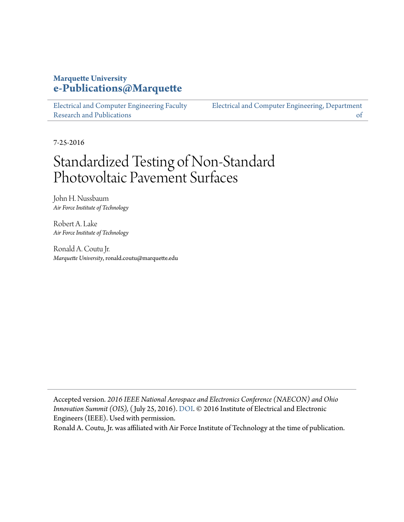### **Marquette University [e-Publications@Marquette](https://epublications.marquette.edu)**

[Electrical and Computer Engineering Faculty](https://epublications.marquette.edu/electric_fac) [Research and Publications](https://epublications.marquette.edu/electric_fac) [Electrical and Computer Engineering, Department](https://epublications.marquette.edu/electric) [of](https://epublications.marquette.edu/electric)

7-25-2016

# Standardized Testing of Non-Standard Photovoltaic Pavement Surfaces

John H. Nussbaum *Air Force Institute of Technology*

Robert A. Lake *Air Force Institute of Technology*

Ronald A. Coutu Jr. *Marquette University*, ronald.coutu@marquette.edu

Accepted version*. 2016 IEEE National Aerospace and Electronics Conference (NAECON) and Ohio Innovation Summit (OIS),* ( July 25, 2016). [DOI.](https://doi.org/10.1109/NAECON.2016.7856766) © 2016 Institute of Electrical and Electronic Engineers (IEEE). Used with permission.

Ronald A. Coutu, Jr. was affiliated with Air Force Institute of Technology at the time of publication.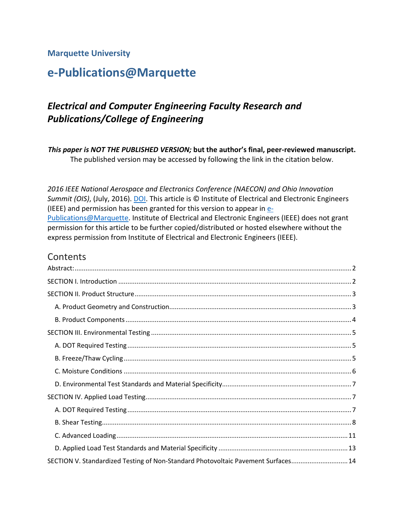#### **Marquette University**

## **e-Publications@Marquette**

## *Electrical and Computer Engineering Faculty Research and Publications/College of Engineering*

*This paper is NOT THE PUBLISHED VERSION;* **but the author's final, peer-reviewed manuscript.**  The published version may be accessed by following the link in the citation below.

*2016 IEEE National Aerospace and Electronics Conference (NAECON) and Ohio Innovation Summit (OIS)*, (July, 2016). **DOI**. This article is © Institute of Electrical and Electronic Engineers (IEEE) and permission has been granted for this version to appear in [e-](http://epublications.marquette.edu/)[Publications@Marquette.](http://epublications.marquette.edu/) Institute of Electrical and Electronic Engineers (IEEE) does not grant permission for this article to be further copied/distributed or hosted elsewhere without the express permission from Institute of Electrical and Electronic Engineers (IEEE).

#### Contents

| SECTION V. Standardized Testing of Non-Standard Photovoltaic Pavement Surfaces 14 |  |  |
|-----------------------------------------------------------------------------------|--|--|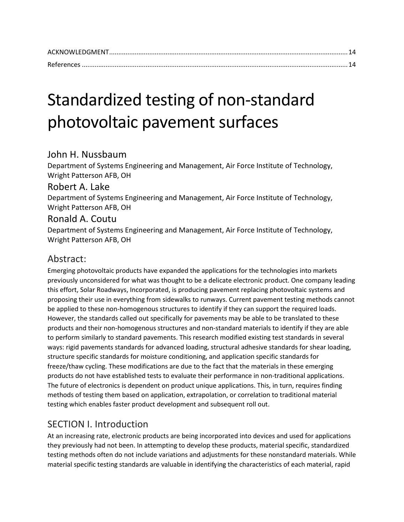# Standardized testing of non-standard photovoltaic pavement surfaces

## John H. Nussbaum

Department of Systems Engineering and Management, Air Force Institute of Technology, Wright Patterson AFB, OH

### Robert A. Lake

Department of Systems Engineering and Management, Air Force Institute of Technology, Wright Patterson AFB, OH

### Ronald A. Coutu

Department of Systems Engineering and Management, Air Force Institute of Technology, Wright Patterson AFB, OH

## <span id="page-2-0"></span>Abstract:

Emerging photovoltaic products have expanded the applications for the technologies into markets previously unconsidered for what was thought to be a delicate electronic product. One company leading this effort, Solar Roadways, Incorporated, is producing pavement replacing photovoltaic systems and proposing their use in everything from sidewalks to runways. Current pavement testing methods cannot be applied to these non-homogenous structures to identify if they can support the required loads. However, the standards called out specifically for pavements may be able to be translated to these products and their non-homogenous structures and non-standard materials to identify if they are able to perform similarly to standard pavements. This research modified existing test standards in several ways: rigid pavements standards for advanced loading, structural adhesive standards for shear loading, structure specific standards for moisture conditioning, and application specific standards for freeze/thaw cycling. These modifications are due to the fact that the materials in these emerging products do not have established tests to evaluate their performance in non-traditional applications. The future of electronics is dependent on product unique applications. This, in turn, requires finding methods of testing them based on application, extrapolation, or correlation to traditional material testing which enables faster product development and subsequent roll out.

## <span id="page-2-1"></span>SECTION I. Introduction

At an increasing rate, electronic products are being incorporated into devices and used for applications they previously had not been. In attempting to develop these products, material specific, standardized testing methods often do not include variations and adjustments for these nonstandard materials. While material specific testing standards are valuable in identifying the characteristics of each material, rapid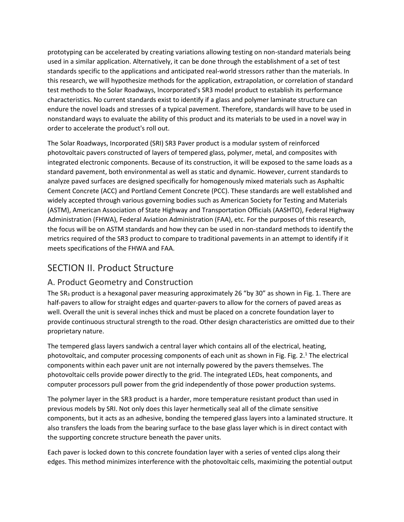prototyping can be accelerated by creating variations allowing testing on non-standard materials being used in a similar application. Alternatively, it can be done through the establishment of a set of test standards specific to the applications and anticipated real-world stressors rather than the materials. In this research, we will hypothesize methods for the application, extrapolation, or correlation of standard test methods to the Solar Roadways, Incorporated's SR3 model product to establish its performance characteristics. No current standards exist to identify if a glass and polymer laminate structure can endure the novel loads and stresses of a typical pavement. Therefore, standards will have to be used in nonstandard ways to evaluate the ability of this product and its materials to be used in a novel way in order to accelerate the product's roll out.

The Solar Roadways, Incorporated (SRI) SR3 Paver product is a modular system of reinforced photovoltaic pavers constructed of layers of tempered glass, polymer, metal, and composites with integrated electronic components. Because of its construction, it will be exposed to the same loads as a standard pavement, both environmental as well as static and dynamic. However, current standards to analyze paved surfaces are designed specifically for homogenously mixed materials such as Asphaltic Cement Concrete (ACC) and Portland Cement Concrete (PCC). These standards are well established and widely accepted through various governing bodies such as American Society for Testing and Materials (ASTM), American Association of State Highway and Transportation Officials (AASHTO), Federal Highway Administration (FHWA), Federal Aviation Administration (FAA), etc. For the purposes of this research, the focus will be on ASTM standards and how they can be used in non-standard methods to identify the metrics required of the SR3 product to compare to traditional pavements in an attempt to identify if it meets specifications of the FHWA and FAA.

## <span id="page-3-0"></span>SECTION II. Product Structure

#### <span id="page-3-1"></span>A. Product Geometry and Construction

The SR<sub>3</sub> product is a hexagonal paver measuring approximately 26 "by 30" as shown in Fig. 1. There are half-pavers to allow for straight edges and quarter-pavers to allow for the corners of paved areas as well. Overall the unit is several inches thick and must be placed on a concrete foundation layer to provide continuous structural strength to the road. Other design characteristics are omitted due to their proprietary nature.

The tempered glass layers sandwich a central layer which contains all of the electrical, heating, photovoltaic, and computer processing components of each unit as shown in Fig. Fig. 2.<sup>1</sup> The electrical components within each paver unit are not internally powered by the pavers themselves. The photovoltaic cells provide power directly to the grid. The integrated LEDs, heat components, and computer processors pull power from the grid independently of those power production systems.

The polymer layer in the SR3 product is a harder, more temperature resistant product than used in previous models by SRI. Not only does this layer hermetically seal all of the climate sensitive components, but it acts as an adhesive, bonding the tempered glass layers into a laminated structure. It also transfers the loads from the bearing surface to the base glass layer which is in direct contact with the supporting concrete structure beneath the paver units.

Each paver is locked down to this concrete foundation layer with a series of vented clips along their edges. This method minimizes interference with the photovoltaic cells, maximizing the potential output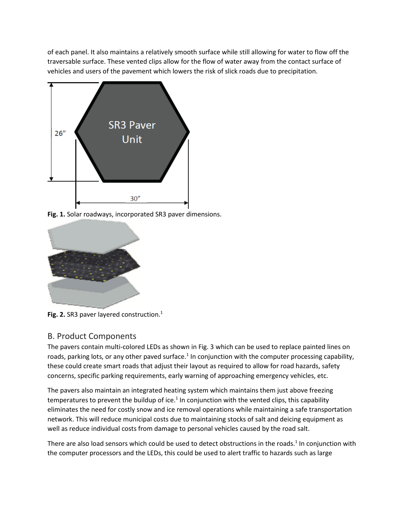of each panel. It also maintains a relatively smooth surface while still allowing for water to flow off the traversable surface. These vented clips allow for the flow of water away from the contact surface of vehicles and users of the pavement which lowers the risk of slick roads due to precipitation.



**Fig. 1.** Solar roadways, incorporated SR3 paver dimensions.



Fig. 2. SR3 paver layered construction.<sup>1</sup>

#### <span id="page-4-0"></span>B. Product Components

The pavers contain multi-colored LEDs as shown in Fig. 3 which can be used to replace painted lines on roads, parking lots, or any other paved surface.<sup>1</sup> In conjunction with the computer processing capability, these could create smart roads that adjust their layout as required to allow for road hazards, safety concerns, specific parking requirements, early warning of approaching emergency vehicles, etc.

The pavers also maintain an integrated heating system which maintains them just above freezing temperatures to prevent the buildup of ice.<sup>1</sup> In conjunction with the vented clips, this capability eliminates the need for costly snow and ice removal operations while maintaining a safe transportation network. This will reduce municipal costs due to maintaining stocks of salt and deicing equipment as well as reduce individual costs from damage to personal vehicles caused by the road salt.

There are also load sensors which could be used to detect obstructions in the roads.<sup>1</sup> In conjunction with the computer processors and the LEDs, this could be used to alert traffic to hazards such as large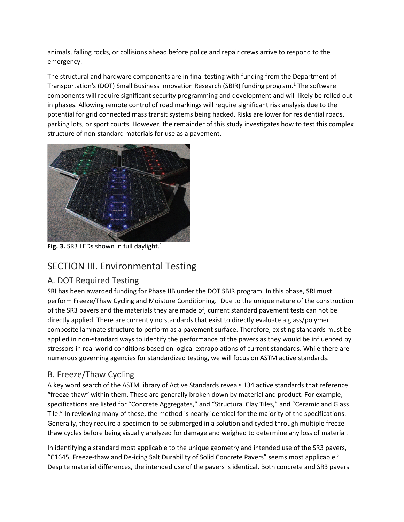animals, falling rocks, or collisions ahead before police and repair crews arrive to respond to the emergency.

The structural and hardware components are in final testing with funding from the Department of Transportation's (DOT) Small Business Innovation Research (SBIR) funding program. <sup>1</sup> The software components will require significant security programming and development and will likely be rolled out in phases. Allowing remote control of road markings will require significant risk analysis due to the potential for grid connected mass transit systems being hacked. Risks are lower for residential roads, parking lots, or sport courts. However, the remainder of this study investigates how to test this complex structure of non-standard materials for use as a pavement.



Fig. 3. SR3 LEDs shown in full daylight.<sup>1</sup>

## <span id="page-5-0"></span>SECTION III. Environmental Testing

#### <span id="page-5-1"></span>A. DOT Required Testing

SRI has been awarded funding for Phase IIB under the DOT SBIR program. In this phase, SRI must perform Freeze/Thaw Cycling and Moisture Conditioning.<sup>1</sup> Due to the unique nature of the construction of the SR3 pavers and the materials they are made of, current standard pavement tests can not be directly applied. There are currently no standards that exist to directly evaluate a glass/polymer composite laminate structure to perform as a pavement surface. Therefore, existing standards must be applied in non-standard ways to identify the performance of the pavers as they would be influenced by stressors in real world conditions based on logical extrapolations of current standards. While there are numerous governing agencies for standardized testing, we will focus on ASTM active standards.

#### <span id="page-5-2"></span>B. Freeze/Thaw Cycling

A key word search of the ASTM library of Active Standards reveals 134 active standards that reference "freeze-thaw" within them. These are generally broken down by material and product. For example, specifications are listed for "Concrete Aggregates," and "Structural Clay Tiles," and "Ceramic and Glass Tile." In reviewing many of these, the method is nearly identical for the majority of the specifications. Generally, they require a specimen to be submerged in a solution and cycled through multiple freezethaw cycles before being visually analyzed for damage and weighed to determine any loss of material.

In identifying a standard most applicable to the unique geometry and intended use of the SR3 pavers, "C1645, Freeze-thaw and De-icing Salt Durability of Solid Concrete Pavers" seems most applicable.<sup>2</sup> Despite material differences, the intended use of the pavers is identical. Both concrete and SR3 pavers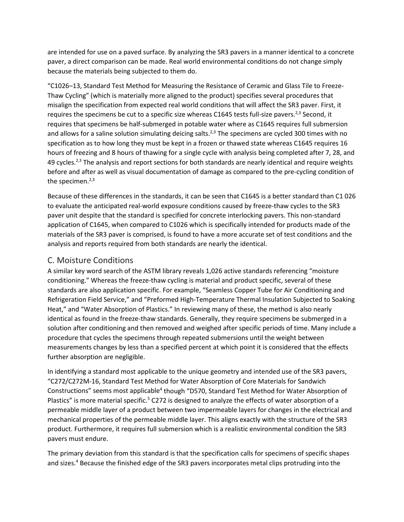are intended for use on a paved surface. By analyzing the SR3 pavers in a manner identical to a concrete paver, a direct comparison can be made. Real world environmental conditions do not change simply because the materials being subjected to them do.

"C1026–13, Standard Test Method for Measuring the Resistance of Ceramic and Glass Tile to Freeze-Thaw Cycling" (which is materially more aligned to the product) specifies several procedures that misalign the specification from expected real world conditions that will affect the SR3 paver. First, it requires the specimens be cut to a specific size whereas C1645 tests full-size pavers.<sup>2,3</sup> Second, it requires that specimens be half-submerged in potable water where as C1645 requires full submersion and allows for a saline solution simulating deicing salts.<sup>2,3</sup> The specimens are cycled 300 times with no specification as to how long they must be kept in a frozen or thawed state whereas C1645 requires 16 hours of freezing and 8 hours of thawing for a single cycle with analysis being completed after 7, 28, and 49 cycles.<sup>2,3</sup> The analysis and report sections for both standards are nearly identical and require weights before and after as well as visual documentation of damage as compared to the pre-cycling condition of the specimen.<sup>2,3</sup>

Because of these differences in the standards, it can be seen that C1645 is a better standard than C1 026 to evaluate the anticipated real-world exposure conditions caused by freeze-thaw cycles to the SR3 paver unit despite that the standard is specified for concrete interlocking pavers. This non-standard application of C1645, when compared to C1026 which is specifically intended for products made of the materials of the SR3 paver is comprised, is found to have a more accurate set of test conditions and the analysis and reports required from both standards are nearly the identical.

#### <span id="page-6-0"></span>C. Moisture Conditions

A similar key word search of the ASTM library reveals 1,026 active standards referencing "moisture conditioning." Whereas the freeze-thaw cycling is material and product specific, several of these standards are also application specific. For example, "Seamless Copper Tube for Air Conditioning and Refrigeration Field Service," and "Preformed High-Temperature Thermal Insulation Subjected to Soaking Heat," and "Water Absorption of Plastics." In reviewing many of these, the method is also nearly identical as found in the freeze-thaw standards. Generally, they require specimens be submerged in a solution after conditioning and then removed and weighed after specific periods of time. Many include a procedure that cycles the specimens through repeated submersions until the weight between measurements changes by less than a specified percent at which point it is considered that the effects further absorption are negligible.

In identifying a standard most applicable to the unique geometry and intended use of the SR3 pavers, "C272/C272M-16, Standard Test Method for Water Absorption of Core Materials for Sandwich Constructions" seems most applicable<sup>4</sup> though "D570, Standard Test Method for Water Absorption of Plastics" is more material specific.<sup>5</sup> C272 is designed to analyze the effects of water absorption of a permeable middle layer of a product between two impermeable layers for changes in the electrical and mechanical properties of the permeable middle layer. This aligns exactly with the structure of the SR3 product. Furthermore, it requires full submersion which is a realistic environmental condition the SR3 pavers must endure.

The primary deviation from this standard is that the specification calls for specimens of specific shapes and sizes. <sup>4</sup> Because the finished edge of the SR3 pavers incorporates metal clips protruding into the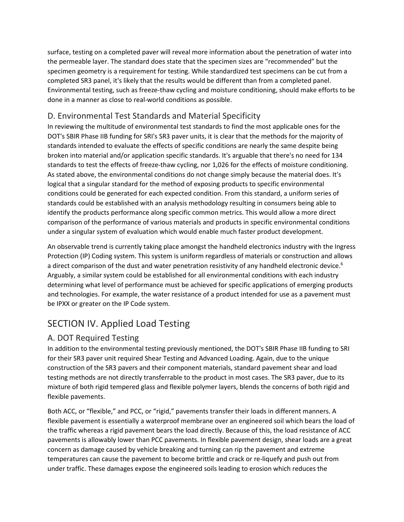surface, testing on a completed paver will reveal more information about the penetration of water into the permeable layer. The standard does state that the specimen sizes are "recommended" but the specimen geometry is a requirement for testing. While standardized test specimens can be cut from a completed SR3 panel, it's likely that the results would be different than from a completed panel. Environmental testing, such as freeze-thaw cycling and moisture conditioning, should make efforts to be done in a manner as close to real-world conditions as possible.

### <span id="page-7-0"></span>D. Environmental Test Standards and Material Specificity

In reviewing the multitude of environmental test standards to find the most applicable ones for the DOT's SBIR Phase IIB funding for SRI's SR3 paver units, it is clear that the methods for the majority of standards intended to evaluate the effects of specific conditions are nearly the same despite being broken into material and/or application specific standards. It's arguable that there's no need for 134 standards to test the effects of freeze-thaw cycling, nor 1,026 for the effects of moisture conditioning. As stated above, the environmental conditions do not change simply because the material does. It's logical that a singular standard for the method of exposing products to specific environmental conditions could be generated for each expected condition. From this standard, a uniform series of standards could be established with an analysis methodology resulting in consumers being able to identify the products performance along specific common metrics. This would allow a more direct comparison of the performance of various materials and products in specific environmental conditions under a singular system of evaluation which would enable much faster product development.

An observable trend is currently taking place amongst the handheld electronics industry with the Ingress Protection (IP) Coding system. This system is uniform regardless of materials or construction and allows a direct comparison of the dust and water penetration resistivity of any handheld electronic device.<sup>6</sup> Arguably, a similar system could be established for all environmental conditions with each industry determining what level of performance must be achieved for specific applications of emerging products and technologies. For example, the water resistance of a product intended for use as a pavement must be IPXX or greater on the IP Code system.

## <span id="page-7-1"></span>SECTION IV. Applied Load Testing

### <span id="page-7-2"></span>A. DOT Required Testing

In addition to the environmental testing previously mentioned, the DOT's SBIR Phase IIB funding to SRI for their SR3 paver unit required Shear Testing and Advanced Loading. Again, due to the unique construction of the SR3 pavers and their component materials, standard pavement shear and load testing methods are not directly transferrable to the product in most cases. The SR3 paver, due to its mixture of both rigid tempered glass and flexible polymer layers, blends the concerns of both rigid and flexible pavements.

Both ACC, or "flexible," and PCC, or "rigid," pavements transfer their loads in different manners. A flexible pavement is essentially a waterproof membrane over an engineered soil which bears the load of the traffic whereas a rigid pavement bears the load directly. Because of this, the load resistance of ACC pavements is allowably lower than PCC pavements. In flexible pavement design, shear loads are a great concern as damage caused by vehicle breaking and turning can rip the pavement and extreme temperatures can cause the pavement to become brittle and crack or re-liquefy and push out from under traffic. These damages expose the engineered soils leading to erosion which reduces the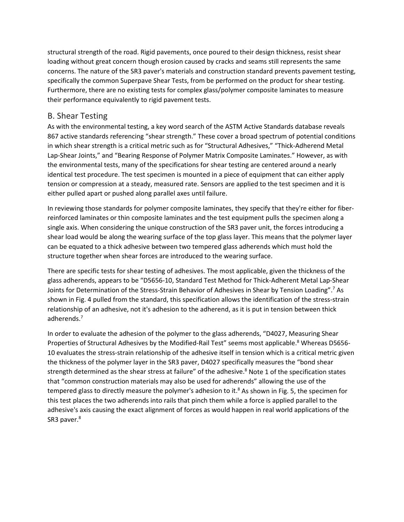structural strength of the road. Rigid pavements, once poured to their design thickness, resist shear loading without great concern though erosion caused by cracks and seams still represents the same concerns. The nature of the SR3 paver's materials and construction standard prevents pavement testing, specifically the common Superpave Shear Tests, from be performed on the product for shear testing. Furthermore, there are no existing tests for complex glass/polymer composite laminates to measure their performance equivalently to rigid pavement tests.

#### <span id="page-8-0"></span>B. Shear Testing

As with the environmental testing, a key word search of the ASTM Active Standards database reveals 867 active standards referencing "shear strength." These cover a broad spectrum of potential conditions in which shear strength is a critical metric such as for "Structural Adhesives," "Thick-Adherend Metal Lap-Shear Joints," and "Bearing Response of Polymer Matrix Composite Laminates." However, as with the environmental tests, many of the specifications for shear testing are centered around a nearly identical test procedure. The test specimen is mounted in a piece of equipment that can either apply tension or compression at a steady, measured rate. Sensors are applied to the test specimen and it is either pulled apart or pushed along parallel axes until failure.

In reviewing those standards for polymer composite laminates, they specify that they're either for fiberreinforced laminates or thin composite laminates and the test equipment pulls the specimen along a single axis. When considering the unique construction of the SR3 paver unit, the forces introducing a shear load would be along the wearing surface of the top glass layer. This means that the polymer layer can be equated to a thick adhesive between two tempered glass adherends which must hold the structure together when shear forces are introduced to the wearing surface.

There are specific tests for shear testing of adhesives. The most applicable, given the thickness of the glass adherends, appears to be "D5656-10, Standard Test Method for Thick-Adherent Metal Lap-Shear Joints for Determination of the Stress-Strain Behavior of Adhesives in Shear by Tension Loading". <sup>7</sup> As shown in Fig. 4 pulled from the standard, this specification allows the identification of the stress-strain relationship of an adhesive, not it's adhesion to the adherend, as it is put in tension between thick adherends. 7

In order to evaluate the adhesion of the polymer to the glass adherends, "D4027, Measuring Shear Properties of Structural Adhesives by the Modified-Rail Test" seems most applicable.<sup>8</sup> Whereas D5656-10 evaluates the stress-strain relationship of the adhesive itself in tension which is a critical metric given the thickness of the polymer layer in the SR3 paver, D4027 specifically measures the "bond shear strength determined as the shear stress at failure" of the adhesive.<sup>8</sup> Note 1 of the specification states that "common construction materials may also be used for adherends" allowing the use of the tempered glass to directly measure the polymer's adhesion to it. <sup>8</sup> As shown in Fig. 5, the specimen for this test places the two adherends into rails that pinch them while a force is applied parallel to the adhesive's axis causing the exact alignment of forces as would happen in real world applications of the SR3 paver.<sup>8</sup>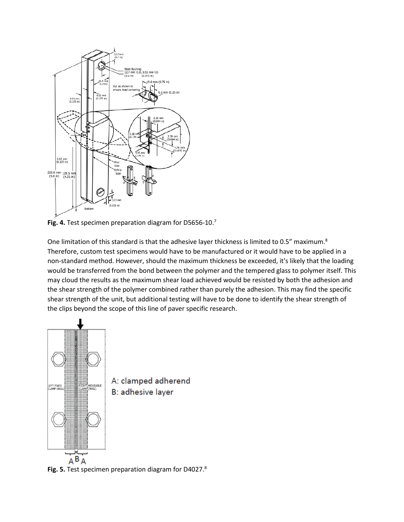

**Fig. 4.** Test specimen preparation diagram for D5656-10. 7

One limitation of this standard is that the adhesive layer thickness is limited to 0.5" maximum.<sup>8</sup> Therefore, custom test specimens would have to be manufactured or it would have to be applied in a non-standard method. However, should the maximum thickness be exceeded, it's likely that the loading would be transferred from the bond between the polymer and the tempered glass to polymer itself. This may cloud the results as the maximum shear load achieved would be resisted by both the adhesion and the shear strength of the polymer combined rather than purely the adhesion. This may find the specific shear strength of the unit, but additional testing will have to be done to identify the shear strength of the clips beyond the scope of this line of paver specific research.



**Fig. 5.** Test specimen preparation diagram for D4027. 8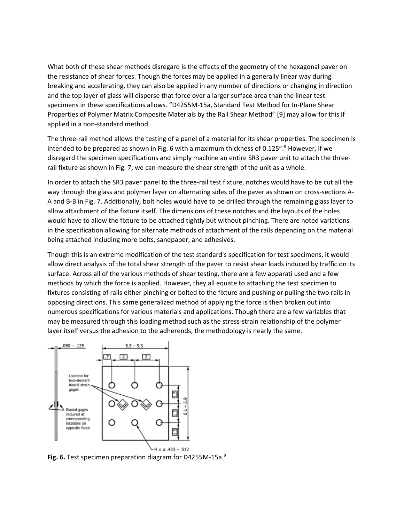What both of these shear methods disregard is the effects of the geometry of the hexagonal paver on the resistance of shear forces. Though the forces may be applied in a generally linear way during breaking and accelerating, they can also be applied in any number of directions or changing in direction and the top layer of glass will disperse that force over a larger surface area than the linear test specimens in these specifications allows. "D4255M-15a, Standard Test Method for In-Plane Shear Properties of Polymer Matrix Composite Materials by the Rail Shear Method" [9] may allow for this if applied in a non-standard method.

The three-rail method allows the testing of a panel of a material for its shear properties. The specimen is intended to be prepared as shown in Fig. 6 with a maximum thickness of 0.125". <sup>9</sup> However, if we disregard the specimen specifications and simply machine an entire SR3 paver unit to attach the threerail fixture as shown in Fig. 7, we can measure the shear strength of the unit as a whole.

In order to attach the SR3 paver panel to the three-rail test fixture, notches would have to be cut all the way through the glass and polymer layer on alternating sides of the paver as shown on cross-sections A-A and B-B in Fig. 7. Additionally, bolt holes would have to be drilled through the remaining glass layer to allow attachment of the fixture itself. The dimensions of these notches and the layouts of the holes would have to allow the fixture to be attached tightly but without pinching. There are noted variations in the specification allowing for alternate methods of attachment of the rails depending on the material being attached including more bolts, sandpaper, and adhesives.

Though this is an extreme modification of the test standard's specification for test specimens, it would allow direct analysis of the total shear strength of the paver to resist shear loads induced by traffic on its surface. Across all of the various methods of shear testing, there are a few apparati used and a few methods by which the force is applied. However, they all equate to attaching the test specimen to fixtures consisting of rails either pinching or bolted to the fixture and pushing or pulling the two rails in opposing directions. This same generalized method of applying the force is then broken out into numerous specifications for various materials and applications. Though there are a few variables that may be measured through this loading method such as the stress-strain relationship of the polymer layer itself versus the adhesion to the adherends, the methodology is nearly the same.



**Fig. 6.** Test specimen preparation diagram for D4255M-15a. 9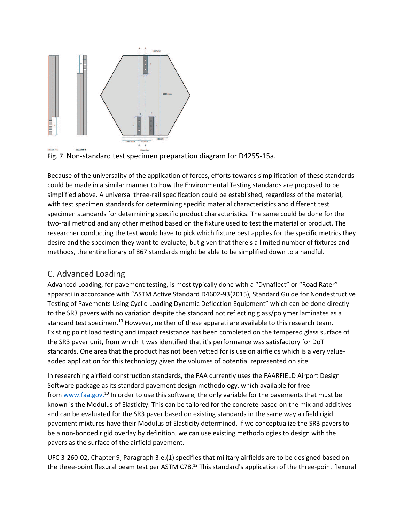



Because of the universality of the application of forces, efforts towards simplification of these standards could be made in a similar manner to how the Environmental Testing standards are proposed to be simplified above. A universal three-rail specification could be established, regardless of the material, with test specimen standards for determining specific material characteristics and different test specimen standards for determining specific product characteristics. The same could be done for the two-rail method and any other method based on the fixture used to test the material or product. The researcher conducting the test would have to pick which fixture best applies for the specific metrics they desire and the specimen they want to evaluate, but given that there's a limited number of fixtures and methods, the entire library of 867 standards might be able to be simplified down to a handful.

#### <span id="page-11-0"></span>C. Advanced Loading

Advanced Loading, for pavement testing, is most typically done with a "Dynaflect" or "Road Rater" apparati in accordance with "ASTM Active Standard D4602-93(2015), Standard Guide for Nondestructive Testing of Pavements Using Cyclic-Loading Dynamic Deflection Equipment" which can be done directly to the SR3 pavers with no variation despite the standard not reflecting glass/polymer laminates as a standard test specimen.<sup>10</sup> However, neither of these apparati are available to this research team. Existing point load testing and impact resistance has been completed on the tempered glass surface of the SR3 paver unit, from which it was identified that it's performance was satisfactory for DoT standards. One area that the product has not been vetted for is use on airfields which is a very valueadded application for this technology given the volumes of potential represented on site.

In researching airfield construction standards, the FAA currently uses the FAARFIELD Airport Design Software package as its standard pavement design methodology, which available for free from [www.faa.gov.](https://ieeexplore.ieee.org/document/www.faa.gov)<sup>10</sup> In order to use this software, the only variable for the pavements that must be known is the Modulus of Elasticity. This can be tailored for the concrete based on the mix and additives and can be evaluated for the SR3 paver based on existing standards in the same way airfield rigid pavement mixtures have their Modulus of Elasticity determined. If we conceptualize the SR3 pavers to be a non-bonded rigid overlay by definition, we can use existing methodologies to design with the pavers as the surface of the airfield pavement.

UFC 3-260-02, Chapter 9, Paragraph 3.e.(1) specifies that military airfields are to be designed based on the three-point flexural beam test per ASTM C78.<sup>12</sup> This standard's application of the three-point flexural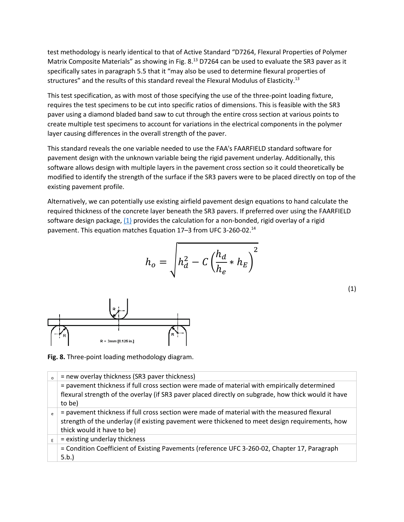test methodology is nearly identical to that of Active Standard "D7264, Flexural Properties of Polymer Matrix Composite Materials" as showing in Fig. 8.<sup>13</sup> D7264 can be used to evaluate the SR3 paver as it specifically sates in paragraph 5.5 that it "may also be used to determine flexural properties of structures" and the results of this standard reveal the Flexural Modulus of Elasticity.<sup>13</sup>

This test specification, as with most of those specifying the use of the three-point loading fixture, requires the test specimens to be cut into specific ratios of dimensions. This is feasible with the SR3 paver using a diamond bladed band saw to cut through the entire cross section at various points to create multiple test specimens to account for variations in the electrical components in the polymer layer causing differences in the overall strength of the paver.

This standard reveals the one variable needed to use the FAA's FAARFIELD standard software for pavement design with the unknown variable being the rigid pavement underlay. Additionally, this software allows design with multiple layers in the pavement cross section so it could theoretically be modified to identify the strength of the surface if the SR3 pavers were to be placed directly on top of the existing pavement profile.

Alternatively, we can potentially use existing airfield pavement design equations to hand calculate the required thickness of the concrete layer beneath the SR3 pavers. If preferred over using the FAARFIELD software design package,  $(1)$  provides the calculation for a non-bonded, rigid overlay of a rigid pavement. This equation matches Equation 17–3 from UFC 3-260-02.<sup>14</sup>

$$
h_o = \sqrt{h_d^2 - C\left(\frac{h_d}{h_e}*h_E\right)^2}
$$

(1)



**Fig. 8.** Three-point loading methodology diagram.

| $\circ$ | = new overlay thickness (SR3 paver thickness)                                                                                                                                                                               |
|---------|-----------------------------------------------------------------------------------------------------------------------------------------------------------------------------------------------------------------------------|
|         | = pavement thickness if full cross section were made of material with empirically determined<br>flexural strength of the overlay (if SR3 paver placed directly on subgrade, how thick would it have<br>to be)               |
| e       | = pavement thickness if full cross section were made of material with the measured flexural<br>strength of the underlay (if existing pavement were thickened to meet design requirements, how<br>thick would it have to be) |
| E       | = existing underlay thickness                                                                                                                                                                                               |
|         | = Condition Coefficient of Existing Pavements (reference UFC 3-260-02, Chapter 17, Paragraph<br>5.b.)                                                                                                                       |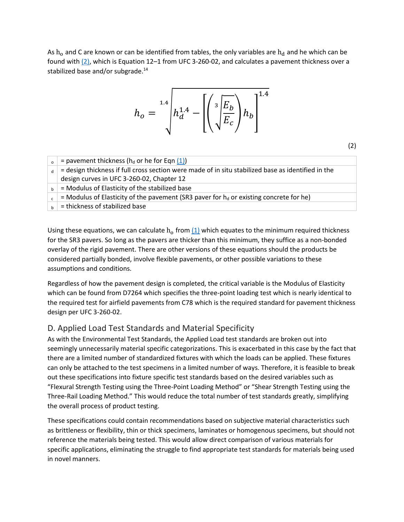As  $h_0$  and C are known or can be identified from tables, the only variables are  $h_d$  and he which can be found with [\(2\),](https://ieeexplore.ieee.org/document/#deqn2) which is Equation 12–1 from UFC 3-260-02, and calculates a pavement thickness over a stabilized base and/or subgrade.<sup>14</sup>

$$
h_o = \sqrt[1.4]{h_d^{1.4} - \left[ \left( \sqrt[3]{\frac{E_b}{E_c}} \right) h_b \right]^{1.4}}
$$

(2)

| = pavement thickness ( $h_d$ or he for Eqn (1))                                                    |
|----------------------------------------------------------------------------------------------------|
| = design thickness if full cross section were made of in situ stabilized base as identified in the |
| design curves in UFC 3-260-02, Chapter 12                                                          |
| = Modulus of Elasticity of the stabilized base                                                     |
| = Modulus of Elasticity of the pavement (SR3 paver for $h_d$ or existing concrete for he)          |
| = thickness of stabilized base                                                                     |

Using these equations, we can calculate  $h_0$  from  $(1)$  which equates to the minimum required thickness for the SR3 pavers. So long as the pavers are thicker than this minimum, they suffice as a non-bonded overlay of the rigid pavement. There are other versions of these equations should the products be considered partially bonded, involve flexible pavements, or other possible variations to these assumptions and conditions.

Regardless of how the pavement design is completed, the critical variable is the Modulus of Elasticity which can be found from D7264 which specifies the three-point loading test which is nearly identical to the required test for airfield pavements from C78 which is the required standard for pavement thickness design per UFC 3-260-02.

#### <span id="page-13-0"></span>D. Applied Load Test Standards and Material Specificity

As with the Environmental Test Standards, the Applied Load test standards are broken out into seemingly unnecessarily material specific categorizations. This is exacerbated in this case by the fact that there are a limited number of standardized fixtures with which the loads can be applied. These fixtures can only be attached to the test specimens in a limited number of ways. Therefore, it is feasible to break out these specifications into fixture specific test standards based on the desired variables such as "Flexural Strength Testing using the Three-Point Loading Method" or "Shear Strength Testing using the Three-Rail Loading Method." This would reduce the total number of test standards greatly, simplifying the overall process of product testing.

These specifications could contain recommendations based on subjective material characteristics such as brittleness or flexibility, thin or thick specimens, laminates or homogenous specimens, but should not reference the materials being tested. This would allow direct comparison of various materials for specific applications, eliminating the struggle to find appropriate test standards for materials being used in novel manners.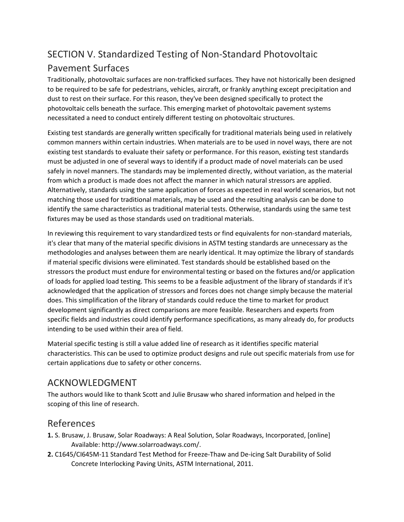# <span id="page-14-0"></span>SECTION V. Standardized Testing of Non-Standard Photovoltaic Pavement Surfaces

Traditionally, photovoltaic surfaces are non-trafficked surfaces. They have not historically been designed to be required to be safe for pedestrians, vehicles, aircraft, or frankly anything except precipitation and dust to rest on their surface. For this reason, they've been designed specifically to protect the photovoltaic cells beneath the surface. This emerging market of photovoltaic pavement systems necessitated a need to conduct entirely different testing on photovoltaic structures.

Existing test standards are generally written specifically for traditional materials being used in relatively common manners within certain industries. When materials are to be used in novel ways, there are not existing test standards to evaluate their safety or performance. For this reason, existing test standards must be adjusted in one of several ways to identify if a product made of novel materials can be used safely in novel manners. The standards may be implemented directly, without variation, as the material from which a product is made does not affect the manner in which natural stressors are applied. Alternatively, standards using the same application of forces as expected in real world scenarios, but not matching those used for traditional materials, may be used and the resulting analysis can be done to identify the same characteristics as traditional material tests. Otherwise, standards using the same test fixtures may be used as those standards used on traditional materials.

In reviewing this requirement to vary standardized tests or find equivalents for non-standard materials, it's clear that many of the material specific divisions in ASTM testing standards are unnecessary as the methodologies and analyses between them are nearly identical. It may optimize the library of standards if material specific divisions were eliminated. Test standards should be established based on the stressors the product must endure for environmental testing or based on the fixtures and/or application of loads for applied load testing. This seems to be a feasible adjustment of the library of standards if it's acknowledged that the application of stressors and forces does not change simply because the material does. This simplification of the library of standards could reduce the time to market for product development significantly as direct comparisons are more feasible. Researchers and experts from specific fields and industries could identify performance specifications, as many already do, for products intending to be used within their area of field.

Material specific testing is still a value added line of research as it identifies specific material characteristics. This can be used to optimize product designs and rule out specific materials from use for certain applications due to safety or other concerns.

## <span id="page-14-1"></span>ACKNOWLEDGMENT

The authors would like to thank Scott and Julie Brusaw who shared information and helped in the scoping of this line of research.

## <span id="page-14-2"></span>References

- **1.** S. Brusaw, J. Brusaw, Solar Roadways: A Real Solution, Solar Roadways, Incorporated, [online] Available: http://www.solarroadways.com/.
- **2.** C1645/CI645M-11 Standard Test Method for Freeze-Thaw and De-icing Salt Durability of Solid Concrete Interlocking Paving Units, ASTM International, 2011.